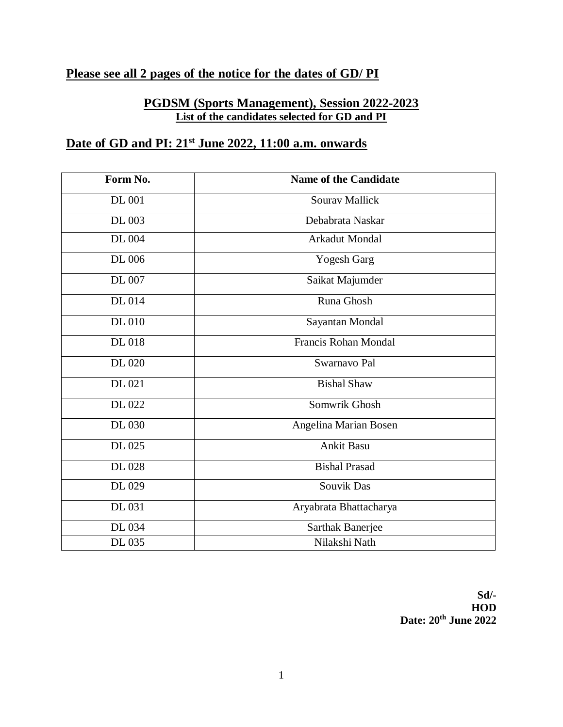# **Please see all 2 pages of the notice for the dates of GD/ PI**

#### **PGDSM (Sports Management), Session 2022-2023 List of the candidates selected for GD and PI**

### **Date of GD and PI: 21st June 2022, 11:00 a.m. onwards**

| Form No.      | <b>Name of the Candidate</b> |
|---------------|------------------------------|
| <b>DL 001</b> | <b>Sourav Mallick</b>        |
| DL 003        | Debabrata Naskar             |
| DL 004        | Arkadut Mondal               |
| DL 006        | <b>Yogesh Garg</b>           |
| DL 007        | Saikat Majumder              |
| DL 014        | Runa Ghosh                   |
| <b>DL 010</b> | Sayantan Mondal              |
| DL 018        | <b>Francis Rohan Mondal</b>  |
| DL 020        | Swarnavo Pal                 |
| DL 021        | <b>Bishal Shaw</b>           |
| DL 022        | Somwrik Ghosh                |
| DL 030        | Angelina Marian Bosen        |
| DL 025        | <b>Ankit Basu</b>            |
| DL 028        | <b>Bishal Prasad</b>         |
| DL 029        | <b>Souvik Das</b>            |
| DL 031        | Aryabrata Bhattacharya       |
| DL 034        | Sarthak Banerjee             |
| DL 035        | Nilakshi Nath                |

**Sd/- HOD Date: 20th June 2022**